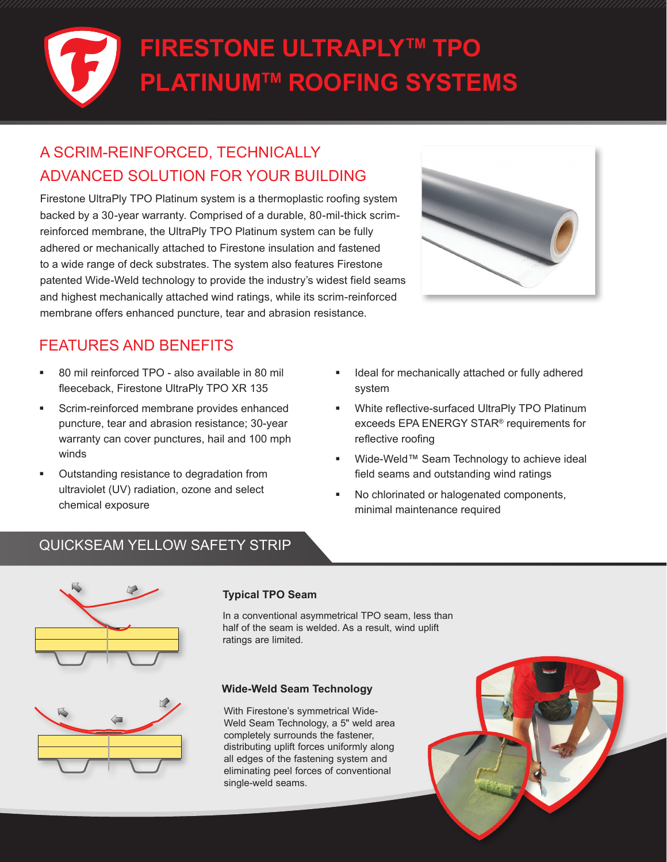# **FIRESTONE ULTRAPLYTM TPO PLATINUMTM ROOFING SYSTEMS**

# A SCRIM-REINFORCED, TECHNICALLY ADVANCED SOLUTION FOR YOUR BUILDING

Firestone UltraPly TPO Platinum system is a thermoplastic roofing system backed by a 30-year warranty. Comprised of a durable, 80-mil-thick scrimreinforced membrane, the UltraPly TPO Platinum system can be fully adhered or mechanically attached to Firestone insulation and fastened to a wide range of deck substrates. The system also features Firestone patented Wide-Weld technology to provide the industry's widest field seams and highest mechanically attached wind ratings, while its scrim-reinforced membrane offers enhanced puncture, tear and abrasion resistance.



## FEATURES AND BENEFITS

- 80 mil reinforced TPO also available in 80 mil fleeceback, Firestone UltraPly TPO XR 135
- Scrim-reinforced membrane provides enhanced puncture, tear and abrasion resistance; 30-year warranty can cover punctures, hail and 100 mph winds
- Outstanding resistance to degradation from ultraviolet (UV) radiation, ozone and select chemical exposure
- Ideal for mechanically attached or fully adhered system
- White reflective-surfaced UltraPly TPO Platinum exceeds EPA ENERGY STAR® requirements for reflective roofing
- Wide-Weld™ Seam Technology to achieve ideal field seams and outstanding wind ratings
- No chlorinated or halogenated components, minimal maintenance required

### QUICKSEAM YELLOW SAFETY STRIP





### **Typical TPO Seam**

In a conventional asymmetrical TPO seam, less than half of the seam is welded. As a result, wind uplift ratings are limited.

### **Wide-Weld Seam Technology**

With Firestone's symmetrical Wide-Weld Seam Technology, a 5" weld area completely surrounds the fastener, distributing uplift forces uniformly along all edges of the fastening system and eliminating peel forces of conventional single-weld seams.